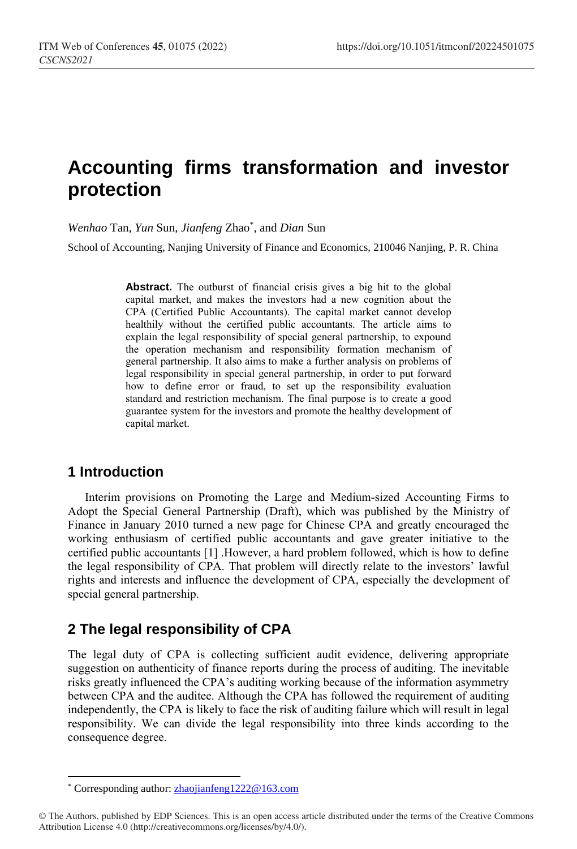# **Accounting firms transformation and investor protection**

*Wenhao* Tan, *Yun* Sun, *Jianfeng* Zhao\* , and *Dian* Sun

School of Accounting, Nanjing University of Finance and Economics, 210046 Nanjing, P. R. China

**Abstract.** The outburst of financial crisis gives a big hit to the global capital market, and makes the investors had a new cognition about the CPA (Certified Public Accountants). The capital market cannot develop healthily without the certified public accountants. The article aims to explain the legal responsibility of special general partnership, to expound the operation mechanism and responsibility formation mechanism of general partnership. It also aims to make a further analysis on problems of legal responsibility in special general partnership, in order to put forward how to define error or fraud, to set up the responsibility evaluation standard and restriction mechanism. The final purpose is to create a good guarantee system for the investors and promote the healthy development of capital market.

# **1 Introduction**

 $\overline{a}$ 

Interim provisions on Promoting the Large and Medium-sized Accounting Firms to Adopt the Special General Partnership (Draft), which was published by the Ministry of Finance in January 2010 turned a new page for Chinese CPA and greatly encouraged the working enthusiasm of certified public accountants and gave greater initiative to the certified public accountants [1] .However, a hard problem followed, which is how to define the legal responsibility of CPA. That problem will directly relate to the investors' lawful rights and interests and influence the development of CPA, especially the development of special general partnership.

# **2 The legal responsibility of CPA**

The legal duty of CPA is collecting sufficient audit evidence, delivering appropriate suggestion on authenticity of finance reports during the process of auditing. The inevitable risks greatly influenced the CPA's auditing working because of the information asymmetry between CPA and the auditee. Although the CPA has followed the requirement of auditing independently, the CPA is likely to face the risk of auditing failure which will result in legal responsibility. We can divide the legal responsibility into three kinds according to the consequence degree.

<sup>\*</sup> Corresponding author: [zhaojianfeng1222@163.com](mailto:zhaojianfeng1222@163.com)

<sup>©</sup> The Authors, published by EDP Sciences. This is an open access article distributed under the terms of the Creative Commons Attribution License 4.0 (http://creativecommons.org/licenses/by/4.0/).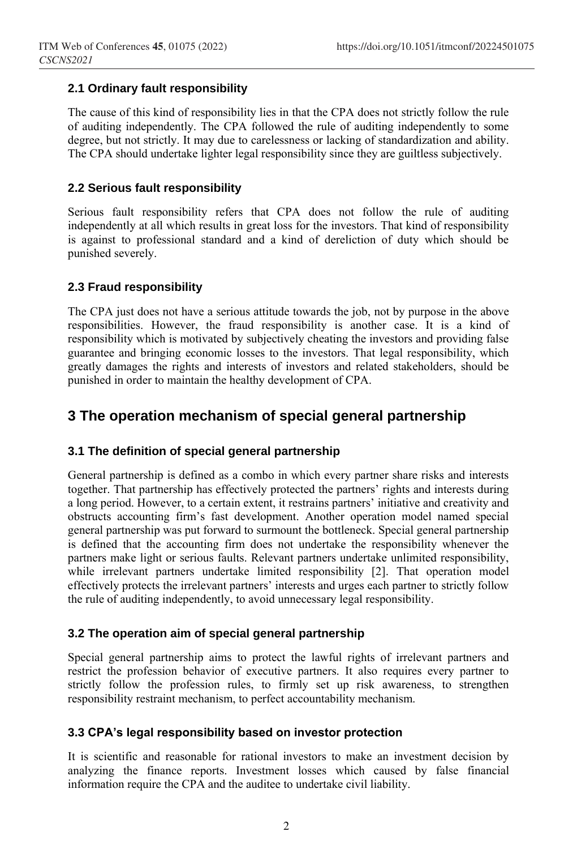#### **2.1 Ordinary fault responsibility**

The cause of this kind of responsibility lies in that the CPA does not strictly follow the rule of auditing independently. The CPA followed the rule of auditing independently to some degree, but not strictly. It may due to carelessness or lacking of standardization and ability. The CPA should undertake lighter legal responsibility since they are guiltless subjectively.

#### **2.2 Serious fault responsibility**

Serious fault responsibility refers that CPA does not follow the rule of auditing independently at all which results in great loss for the investors. That kind of responsibility is against to professional standard and a kind of dereliction of duty which should be punished severely.

#### **2.3 Fraud responsibility**

The CPA just does not have a serious attitude towards the job, not by purpose in the above responsibilities. However, the fraud responsibility is another case. It is a kind of responsibility which is motivated by subjectively cheating the investors and providing false guarantee and bringing economic losses to the investors. That legal responsibility, which greatly damages the rights and interests of investors and related stakeholders, should be punished in order to maintain the healthy development of CPA.

### **3 The operation mechanism of special general partnership**

#### **3.1 The definition of special general partnership**

General partnership is defined as a combo in which every partner share risks and interests together. That partnership has effectively protected the partners' rights and interests during a long period. However, to a certain extent, it restrains partners' initiative and creativity and obstructs accounting firm's fast development. Another operation model named special general partnership was put forward to surmount the bottleneck. Special general partnership is defined that the accounting firm does not undertake the responsibility whenever the partners make light or serious faults. Relevant partners undertake unlimited responsibility, while irrelevant partners undertake limited responsibility [2]. That operation model effectively protects the irrelevant partners' interests and urges each partner to strictly follow the rule of auditing independently, to avoid unnecessary legal responsibility.

#### **3.2 The operation aim of special general partnership**

Special general partnership aims to protect the lawful rights of irrelevant partners and restrict the profession behavior of executive partners. It also requires every partner to strictly follow the profession rules, to firmly set up risk awareness, to strengthen responsibility restraint mechanism, to perfect accountability mechanism.

#### **3.3 CPA's legal responsibility based on investor protection**

It is scientific and reasonable for rational investors to make an investment decision by analyzing the finance reports. Investment losses which caused by false financial information require the CPA and the auditee to undertake civil liability.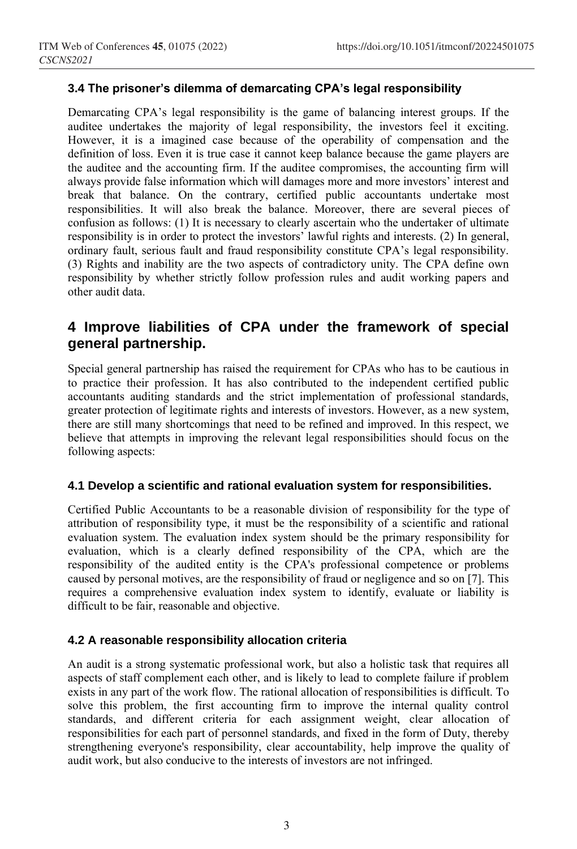#### **3.4 The prisoner's dilemma of demarcating CPA's legal responsibility**

Demarcating CPA's legal responsibility is the game of balancing interest groups. If the auditee undertakes the majority of legal responsibility, the investors feel it exciting. However, it is a imagined case because of the operability of compensation and the definition of loss. Even it is true case it cannot keep balance because the game players are the auditee and the accounting firm. If the auditee compromises, the accounting firm will always provide false information which will damages more and more investors' interest and break that balance. On the contrary, certified public accountants undertake most responsibilities. It will also break the balance. Moreover, there are several pieces of confusion as follows: (1) It is necessary to clearly ascertain who the undertaker of ultimate responsibility is in order to protect the investors' lawful rights and interests. (2) In general, ordinary fault, serious fault and fraud responsibility constitute CPA's legal responsibility. (3) Rights and inability are the two aspects of contradictory unity. The CPA define own responsibility by whether strictly follow profession rules and audit working papers and other audit data.

## **4 Improve liabilities of CPA under the framework of special general partnership.**

Special general partnership has raised the requirement for CPAs who has to be cautious in to practice their profession. It has also contributed to the independent certified public accountants auditing standards and the strict implementation of professional standards, greater protection of legitimate rights and interests of investors. However, as a new system, there are still many shortcomings that need to be refined and improved. In this respect, we believe that attempts in improving the relevant legal responsibilities should focus on the following aspects:

#### **4.1 Develop a scientific and rational evaluation system for responsibilities.**

Certified Public Accountants to be a reasonable division of responsibility for the type of attribution of responsibility type, it must be the responsibility of a scientific and rational evaluation system. The evaluation index system should be the primary responsibility for evaluation, which is a clearly defined responsibility of the CPA, which are the responsibility of the audited entity is the CPA's professional competence or problems caused by personal motives, are the responsibility of fraud or negligence and so on [7]. This requires a comprehensive evaluation index system to identify, evaluate or liability is difficult to be fair, reasonable and objective.

#### **4.2 A reasonable responsibility allocation criteria**

An audit is a strong systematic professional work, but also a holistic task that requires all aspects of staff complement each other, and is likely to lead to complete failure if problem exists in any part of the work flow. The rational allocation of responsibilities is difficult. To solve this problem, the first accounting firm to improve the internal quality control standards, and different criteria for each assignment weight, clear allocation of responsibilities for each part of personnel standards, and fixed in the form of Duty, thereby strengthening everyone's responsibility, clear accountability, help improve the quality of audit work, but also conducive to the interests of investors are not infringed.